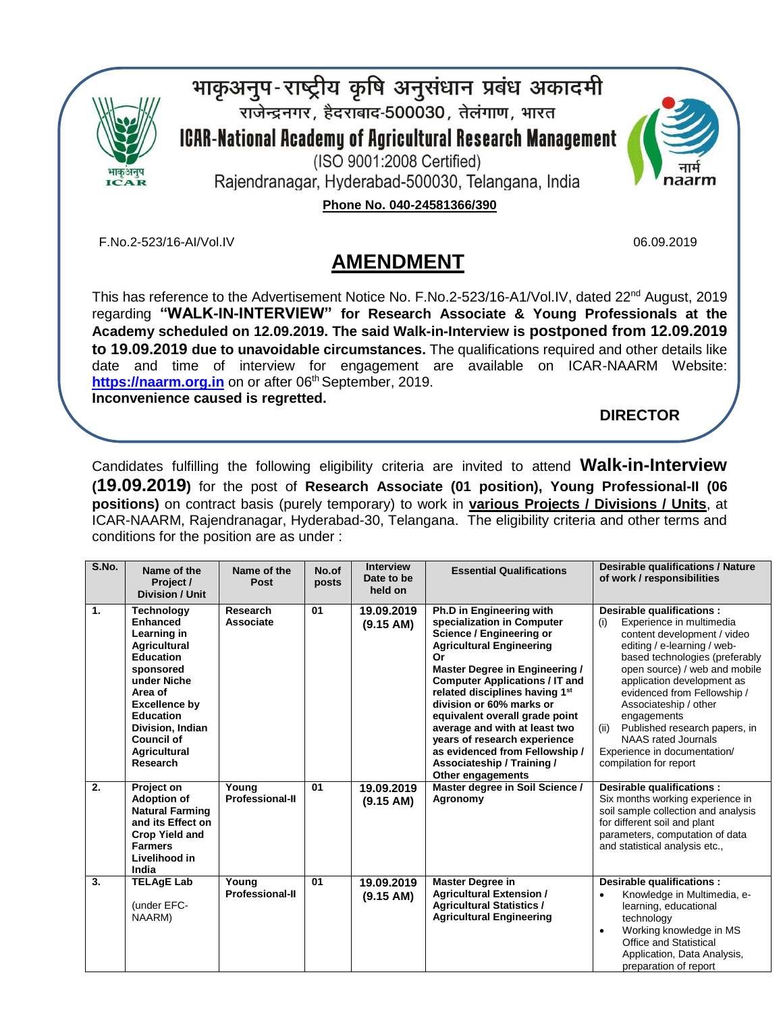

भाकृअनुप-राष्ट्रीय कृषि अनुसंधान प्रबंध अकादमी राजेन्द्रनगर, हैदराबाद-500030, तेलंगाण, भारत **ICAR-National Academy of Agricultural Research Management** (ISO 9001:2008 Certified)





06.09.2019

**Phone No. 040-24581366/390** 

F.No.2-523/16-AI/Vol.IV

# **AMENDMENT**

This has reference to the Advertisement Notice No. F.No.2-523/16-A1/Vol.IV, dated 22<sup>nd</sup> August, 2019 regarding **"WALK-IN-INTERVIEW" for Research Associate & Young Professionals at the Academy scheduled on 12.09.2019. The said Walk-in-Interview is postponed from 12.09.2019 to 19.09.2019 due to unavoidable circumstances.** The qualifications required and other details like date and time of interview for engagement are available on ICAR-NAARM Website: **[https://naarm.org.in](https://naarm.org.in/)** on or after 06 th September, 2019. **Inconvenience caused is regretted.** 

**DIRECTOR**

Candidates fulfilling the following eligibility criteria are invited to attend **Walk-in-Interview (19.09.2019)** for the post of **Research Associate (01 position), Young Professional-II (06 positions)** on contract basis (purely temporary) to work in **various Projects / Divisions / Units**, at ICAR-NAARM, Rajendranagar, Hyderabad-30, Telangana. The eligibility criteria and other terms and conditions for the position are as under :

| S.No. | Name of the<br>Project /<br><b>Division / Unit</b>                                                                                                                                                                                              | Name of the<br>Post             | No.of<br>posts | <b>Interview</b><br>Date to be<br>held on | <b>Essential Qualifications</b>                                                                                                                                                                                                                                                                                                                                                                                                                                                 | <b>Desirable qualifications / Nature</b><br>of work / responsibilities                                                                                                                                                                                                                                                                                                                                                               |
|-------|-------------------------------------------------------------------------------------------------------------------------------------------------------------------------------------------------------------------------------------------------|---------------------------------|----------------|-------------------------------------------|---------------------------------------------------------------------------------------------------------------------------------------------------------------------------------------------------------------------------------------------------------------------------------------------------------------------------------------------------------------------------------------------------------------------------------------------------------------------------------|--------------------------------------------------------------------------------------------------------------------------------------------------------------------------------------------------------------------------------------------------------------------------------------------------------------------------------------------------------------------------------------------------------------------------------------|
| 1.    | Technology<br><b>Enhanced</b><br>Learning in<br><b>Agricultural</b><br><b>Education</b><br>sponsored<br>under Niche<br>Area of<br><b>Excellence by</b><br><b>Education</b><br>Division, Indian<br><b>Council of</b><br>Agricultural<br>Research | Research<br>Associate           | 01             | 19.09.2019<br>(9.15 AM)                   | Ph.D in Engineering with<br>specialization in Computer<br><b>Science / Engineering or</b><br><b>Agricultural Engineering</b><br>Or<br>Master Degree in Engineering /<br><b>Computer Applications / IT and</b><br>related disciplines having 1 <sup>st</sup><br>division or 60% marks or<br>equivalent overall grade point<br>average and with at least two<br>years of research experience<br>as evidenced from Fellowship /<br>Associateship / Training /<br>Other engagements | Desirable qualifications :<br>Experience in multimedia<br>(i)<br>content development / video<br>editing / e-learning / web-<br>based technologies (preferably<br>open source) / web and mobile<br>application development as<br>evidenced from Fellowship /<br>Associateship / other<br>engagements<br>Published research papers, in<br>(ii)<br><b>NAAS</b> rated Journals<br>Experience in documentation/<br>compilation for report |
| 2.    | Project on<br><b>Adoption of</b><br><b>Natural Farming</b><br>and its Effect on<br><b>Crop Yield and</b><br><b>Farmers</b><br>Livelihood in<br>India                                                                                            | Youna<br><b>Professional-II</b> | 01             | 19.09.2019<br>(9.15 AM)                   | Master degree in Soil Science /<br>Agronomy                                                                                                                                                                                                                                                                                                                                                                                                                                     | Desirable qualifications :<br>Six months working experience in<br>soil sample collection and analysis<br>for different soil and plant<br>parameters, computation of data<br>and statistical analysis etc.,                                                                                                                                                                                                                           |
| 3.    | <b>TELAgE Lab</b><br>(under EFC-<br>NAARM)                                                                                                                                                                                                      | Young<br><b>Professional-II</b> | 01             | 19.09.2019<br>(9.15 AM)                   | <b>Master Degree in</b><br><b>Agricultural Extension /</b><br><b>Agricultural Statistics /</b><br><b>Agricultural Engineering</b>                                                                                                                                                                                                                                                                                                                                               | Desirable qualifications :<br>Knowledge in Multimedia, e-<br>$\bullet$<br>learning, educational<br>technology<br>Working knowledge in MS<br>$\bullet$<br><b>Office and Statistical</b><br>Application, Data Analysis,<br>preparation of report                                                                                                                                                                                       |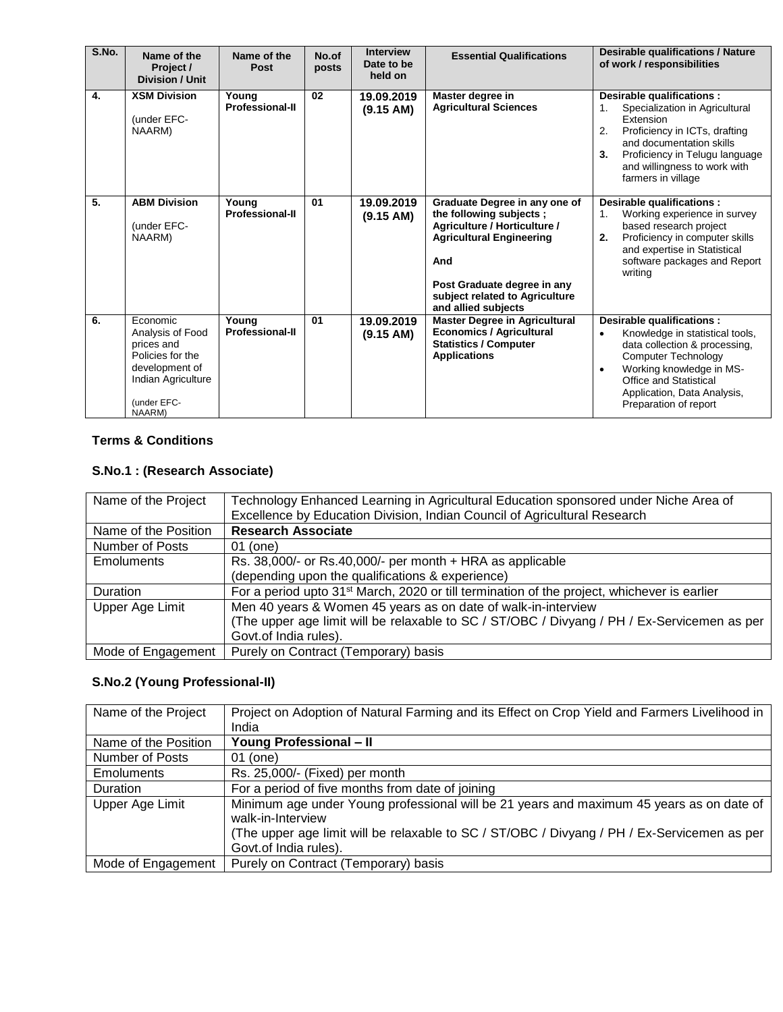| S.No. | Name of the<br>Project /<br><b>Division / Unit</b>                                                                              | Name of the<br>Post             | No.of<br>posts | <b>Interview</b><br>Date to be<br>held on | <b>Essential Qualifications</b>                                                                                                                                                                                            | <b>Desirable qualifications / Nature</b><br>of work / responsibilities                                                                                                                                                                                               |  |
|-------|---------------------------------------------------------------------------------------------------------------------------------|---------------------------------|----------------|-------------------------------------------|----------------------------------------------------------------------------------------------------------------------------------------------------------------------------------------------------------------------------|----------------------------------------------------------------------------------------------------------------------------------------------------------------------------------------------------------------------------------------------------------------------|--|
| 4.    | <b>XSM Division</b><br>(under EFC-<br>NAARM)                                                                                    | Young<br><b>Professional-II</b> | 02             | 19.09.2019<br>(9.15 AM)                   | Master degree in<br><b>Agricultural Sciences</b>                                                                                                                                                                           | Desirable qualifications :<br>Specialization in Agricultural<br>1.<br>Extension<br>2.<br>Proficiency in ICTs, drafting<br>and documentation skills<br>3.<br>Proficiency in Telugu language<br>and willingness to work with<br>farmers in village                     |  |
| 5.    | <b>ABM Division</b><br>(under EFC-<br>NAARM)                                                                                    | Young<br><b>Professional-II</b> | 01             | 19.09.2019<br>(9.15 AM)                   | Graduate Degree in any one of<br>the following subjects;<br>Agriculture / Horticulture /<br><b>Agricultural Engineering</b><br>And<br>Post Graduate degree in any<br>subject related to Agriculture<br>and allied subjects | Desirable qualifications :<br>Working experience in survey<br>1 <sub>1</sub><br>based research project<br>Proficiency in computer skills<br>2.<br>and expertise in Statistical<br>software packages and Report<br>writing                                            |  |
| 6.    | Economic<br>Analysis of Food<br>prices and<br>Policies for the<br>development of<br>Indian Agriculture<br>(under EFC-<br>NAARM) | Young<br><b>Professional-II</b> | 01             | 19.09.2019<br>(9.15 AM)                   | <b>Master Degree in Agricultural</b><br><b>Economics / Agricultural</b><br><b>Statistics / Computer</b><br><b>Applications</b>                                                                                             | Desirable qualifications :<br>Knowledge in statistical tools,<br>$\bullet$<br>data collection & processing,<br><b>Computer Technology</b><br>Working knowledge in MS-<br>$\bullet$<br>Office and Statistical<br>Application, Data Analysis,<br>Preparation of report |  |

## **Terms & Conditions**

## **S.No.1 : (Research Associate)**

| Name of the Project  | Technology Enhanced Learning in Agricultural Education sponsored under Niche Area of<br>Excellence by Education Division, Indian Council of Agricultural Research |
|----------------------|-------------------------------------------------------------------------------------------------------------------------------------------------------------------|
| Name of the Position | <b>Research Associate</b>                                                                                                                                         |
| Number of Posts      | 01 (one)                                                                                                                                                          |
| <b>Emoluments</b>    | Rs. 38,000/- or Rs.40,000/- per month + HRA as applicable                                                                                                         |
|                      | (depending upon the qualifications & experience)                                                                                                                  |
| <b>Duration</b>      | For a period upto 31 <sup>st</sup> March, 2020 or till termination of the project, whichever is earlier                                                           |
| Upper Age Limit      | Men 40 years & Women 45 years as on date of walk-in-interview                                                                                                     |
|                      | (The upper age limit will be relaxable to SC / ST/OBC / Divyang / PH / Ex-Servicemen as per                                                                       |
|                      | Govt.of India rules).                                                                                                                                             |
| Mode of Engagement   | Purely on Contract (Temporary) basis                                                                                                                              |

## **S.No.2 (Young Professional-II)**

| Name of the Project  | Project on Adoption of Natural Farming and its Effect on Crop Yield and Farmers Livelihood in |
|----------------------|-----------------------------------------------------------------------------------------------|
|                      | India                                                                                         |
| Name of the Position | <b>Young Professional - II</b>                                                                |
| Number of Posts      | 01 (one)                                                                                      |
| Emoluments           | Rs. 25,000/- (Fixed) per month                                                                |
| Duration             | For a period of five months from date of joining                                              |
| Upper Age Limit      | Minimum age under Young professional will be 21 years and maximum 45 years as on date of      |
|                      | walk-in-Interview                                                                             |
|                      | (The upper age limit will be relaxable to SC / ST/OBC / Divyang / PH / Ex-Servicemen as per   |
|                      | Govt.of India rules).                                                                         |
| Mode of Engagement   | Purely on Contract (Temporary) basis                                                          |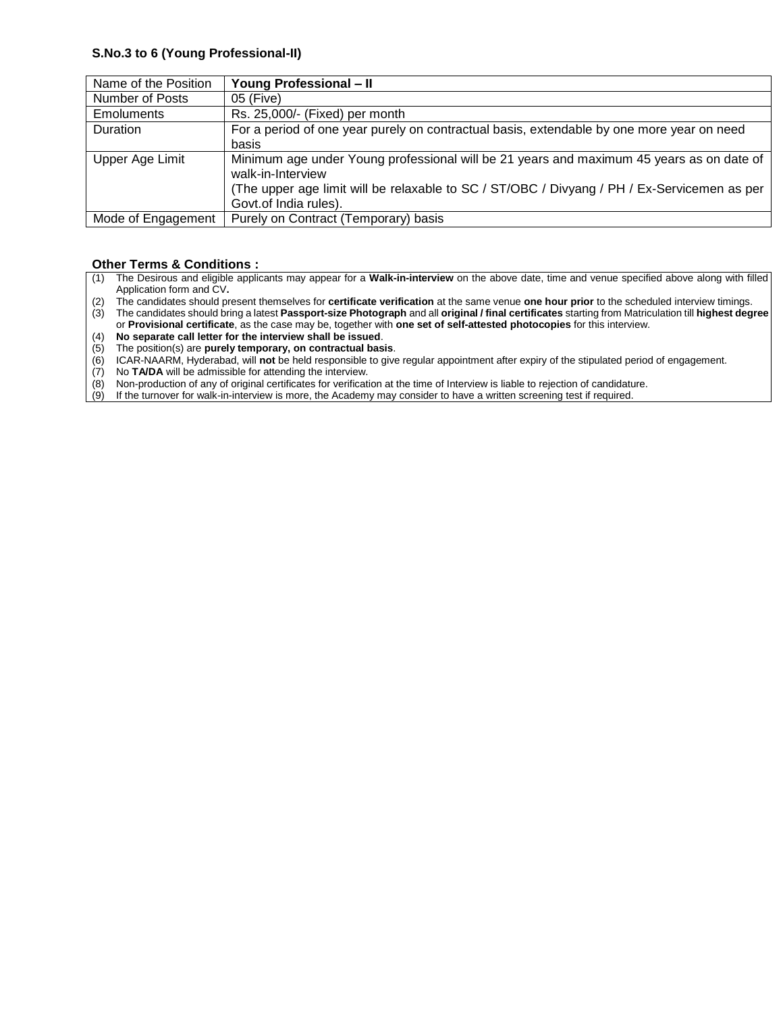#### **S.No.3 to 6 (Young Professional-II)**

| Name of the Position | <b>Young Professional - II</b>                                                                                                                                                                                                        |
|----------------------|---------------------------------------------------------------------------------------------------------------------------------------------------------------------------------------------------------------------------------------|
| Number of Posts      | 05 (Five)                                                                                                                                                                                                                             |
| <b>Emoluments</b>    | Rs. 25,000/- (Fixed) per month                                                                                                                                                                                                        |
| Duration             | For a period of one year purely on contractual basis, extendable by one more year on need<br>basis                                                                                                                                    |
| Upper Age Limit      | Minimum age under Young professional will be 21 years and maximum 45 years as on date of<br>walk-in-Interview<br>(The upper age limit will be relaxable to SC / ST/OBC / Divyang / PH / Ex-Servicemen as per<br>Govt.of India rules). |
| Mode of Engagement   | Purely on Contract (Temporary) basis                                                                                                                                                                                                  |

### **Other Terms & Conditions :**

- (1) The Desirous and eligible applicants may appear for a **Walk-in-interview** on the above date, time and venue specified above along with filled Application form and CV**.**
- (2) The candidates should present themselves for **certificate verification** at the same venue **one hour prior** to the scheduled interview timings.

(3) The candidates should bring a latest **Passport-size Photograph** and all **original / final certificates** starting from Matriculation till **highest degree** or **Provisional certificate**, as the case may be, together with **one set of self-attested photocopies** for this interview.

- (4) **No separate call letter for the interview shall be issued**.
- (5) The position(s) are **purely temporary, on contractual basis**.
- (6) ICAR-NAARM, Hyderabad, will **not** be held responsible to give regular appointment after expiry of the stipulated period of engagement.
- (7) No **TA/DA** will be admissible for attending the interview.
- (8) Non-production of any of original certificates for verification at the time of Interview is liable to rejection of candidature.<br>(9) If the turnover for walk-in-interview is more, the Academy may consider to have a writ
- If the turnover for walk-in-interview is more, the Academy may consider to have a written screening test if required.